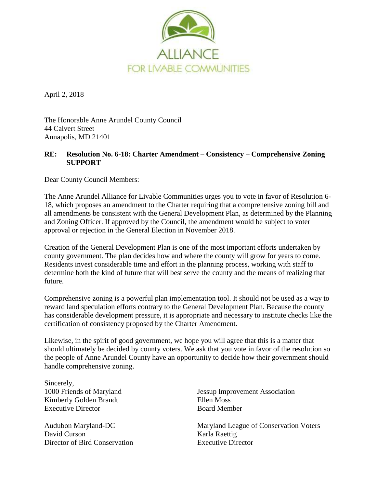

April 2, 2018

The Honorable Anne Arundel County Council 44 Calvert Street Annapolis, MD 21401

## **RE: Resolution No. 6-18: Charter Amendment – Consistency – Comprehensive Zoning SUPPORT**

Dear County Council Members:

The Anne Arundel Alliance for Livable Communities urges you to vote in favor of Resolution 6- 18, which proposes an amendment to the Charter requiring that a comprehensive zoning bill and all amendments be consistent with the General Development Plan, as determined by the Planning and Zoning Officer. If approved by the Council, the amendment would be subject to voter approval or rejection in the General Election in November 2018.

Creation of the General Development Plan is one of the most important efforts undertaken by county government. The plan decides how and where the county will grow for years to come. Residents invest considerable time and effort in the planning process, working with staff to determine both the kind of future that will best serve the county and the means of realizing that future.

Comprehensive zoning is a powerful plan implementation tool. It should not be used as a way to reward land speculation efforts contrary to the General Development Plan. Because the county has considerable development pressure, it is appropriate and necessary to institute checks like the certification of consistency proposed by the Charter Amendment.

Likewise, in the spirit of good government, we hope you will agree that this is a matter that should ultimately be decided by county voters. We ask that you vote in favor of the resolution so the people of Anne Arundel County have an opportunity to decide how their government should handle comprehensive zoning.

Sincerely, 1000 Friends of Maryland Kimberly Golden Brandt Executive Director

Audubon Maryland-DC David Curson Director of Bird Conservation

Jessup Improvement Association Ellen Moss Board Member

Maryland League of Conservation Voters Karla Raettig Executive Director